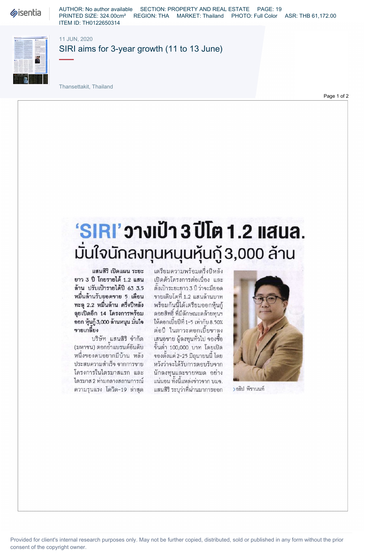**Sisentia** 

AUTHOR: No author available SECTION: PROPERTY AND REAL ESTATE PAGE: 19 PRINTED SIZE: 324.00cm² REGION: THA MARKET: Thailand PHOTO: Full Color ASR: THB 61,172.00 ITEM ID: TH0122650314

11 JUN, 2020



SIRI aims for 3-year growth (11 to 13 June)

Thansettakit, Thailand

Page 1 of 2

## มั่นใจนักลงทุนหนุนหุ้นกู้ 3,000 ล้าน <u>'SIRI' วางเป้า 3 ปีโต 1.2 แสนล.</u>

แสนสิริ เปิดแผน ระยะ เตรียมความพร้อมครึ่งปีหลัง ยาว 3 ปี โกยรายได้ 1.2 แสน ล้าน ปรับเป้ารายได้ปี 63 3.5 หมื่นล้านรับยอดขาย 5 เดือน ทะลุ 2.2 หมื่นล้าน ครึ่งปีหลัง ลุยเปิดอีก 14 โครงการพร้อม ออก หุ้นกู้3,000 ล้านหนุน มั่นใจ ขายเกลี้ยง

 หนึ่งของคนอยากมี่บ้าน หลัง (มหาชน) ตอกย้ำแบรนด์อันดับ **KULJULIJK LA KULJAJ IN KRJILI KRNIK** ประสบความสำเร็จ จากการขาย ไตรมาส 2 ท่ามกลางสถานการณ์ ความรุนแรง โควิด-19 ล่าสุด

เปิดตัวโครงการต่อเนื่อง และ ตั้งเป้าระยะยาว 3 ปี ว่าจะมียอด พร้อมกันนี้ได้เตรียมออกหุ้นกู้ ขายเติบโตที่ 1.2 แสนล้านบาท ดอยสิทธิ์ ที่มีลักษณะคล้ายทุนฯ ให้คอกเบี้ยปีที่ 1-5 เท่ากับ 8 50% ต่อปี ในภาวะดอกเบี้ยขาลง เสนอขาย ผู้ลงทุนทั่วไป จองซื้อ ขั้นต่ำ 100,000 บาท โดยเปิด จองตั้งแต่ 2-25 มิถุนายนนี้ โดย นักลงทนและขายหมด อย่าง หวังว่าจะได้รับการตอบรับจาก แน่นอน ทั้งนี้แหล่งข่าวจาก บมจ. แสนสิริ ระบุว่าที่ผ่านมาการออก



>อธิป พีชานนท์

Provided for client's internal research purposes only. May not be further copied, distributed, sold or published in any form without the prior consent of the copyright owner.